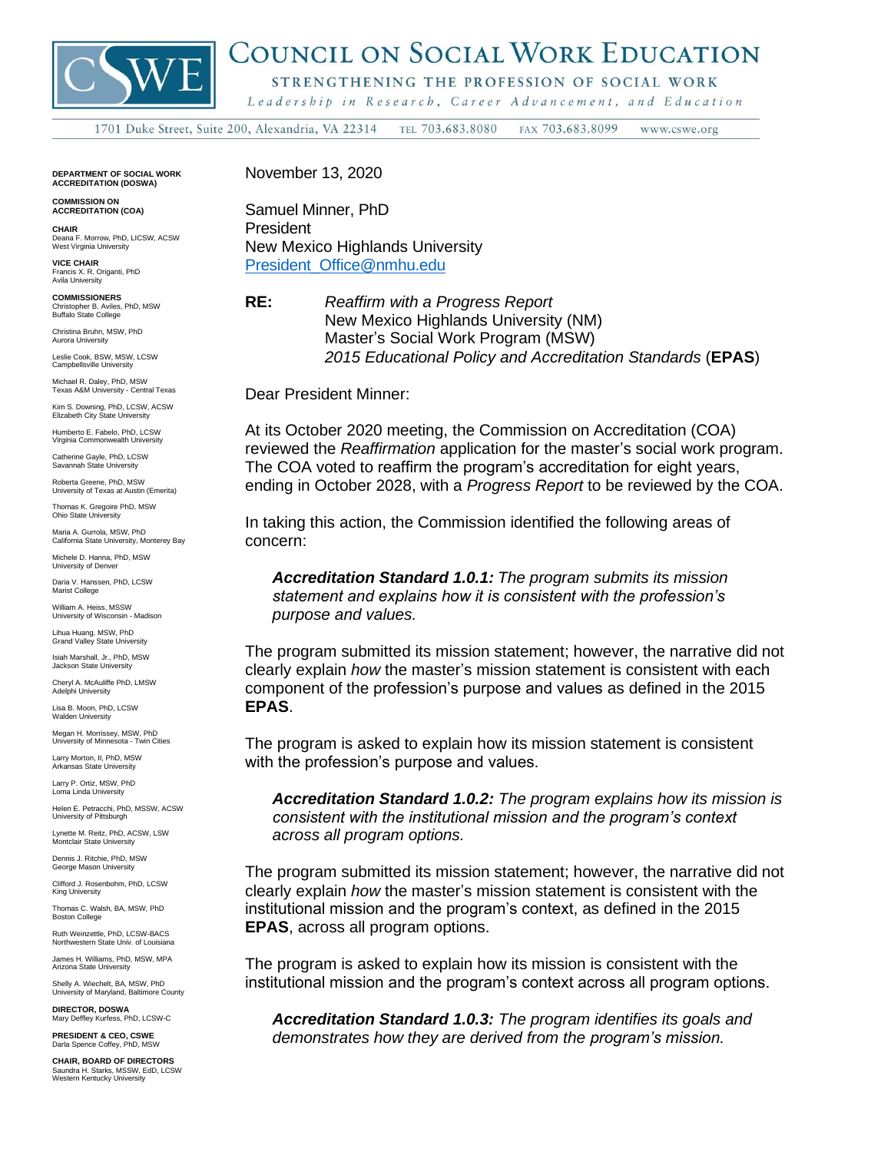

## COUNCIL ON SOCIAL WORK EDUCATION

STRENGTHENING THE PROFESSION OF SOCIAL WORK

Leadership in Research, Career Advancement, and Education

1701 Duke Street, Suite 200, Alexandria, VA 22314 TEL 703.683.8080 FAX 703.683.8099 www.cswe.org

**DEPARTMENT OF SOCIAL WORK ACCREDITATION (DOSWA)**

**COMMISSION ON ACCREDITATION (COA)**

**CHAIR** Deana F. Morrow, PhD, LICSW, ACSW West Virginia University

**VICE CHAIR** Francis X. R. Origanti, PhD Avila University

**COMMISSIONERS**<br>Christopher B. Aviles, PhD. MSW. Christopher B. Aviles, PhD, MSW Buffalo State College

Christina Bruhn, MSW, PhD Aurora University

Leslie Cook, BSW, MSW, LCSW Campbellsville University

Michael R. Daley, PhD, MSW Texas A&M University - Central Texas

Kim S. Downing, PhD, LCSW, ACSW Elizabeth City State University

Humberto E. Fabelo, PhD, LCSW Virginia Commonwealth University

Catherine Gayle, PhD, LCSW Savannah State University

Roberta Greene, PhD, MSW University of Texas at Austin (Emerita)

Thomas K. Gregoire PhD, MSW Ohio State University

Maria A. Gurrola, MSW, PhD California State University, Monterey Bay

Michele D. Hanna, PhD, MSW University of Denver

Daria V. Hanssen, PhD, LCSW Marist College

William A. Heiss, MSSW University of Wisconsin - Madison

Lihua Huang, MSW, PhD Grand Valley State University

Isiah Marshall, Jr., PhD, MSW Jackson State University

Cheryl A. McAuliffe PhD, LMSW Adelphi University

Lisa B. Moon, PhD, LCSW Walden University

Megan H. Morrissey, MSW, PhD University of Minnesota - Twin Cities

Larry Morton, II, PhD, MSW Arkansas State University

Larry P. Ortiz, MSW, PhD Loma Linda University

Helen E. Petracchi, PhD, MSSW, ACSW University of Pittsburgh

Lynette M. Reitz, PhD, ACSW, LSW Montclair State University

Dennis J. Ritchie, PhD, MSW George Mason University

Clifford J. Rosenbohm, PhD, LCSW King University

Thomas C. Walsh, BA, MSW, PhD Boston College

Ruth Weinzettle, PhD, LCSW-BACS Northwestern State Univ. of Louisiana

James H. Williams, PhD, MSW, MPA Arizona State Unive

Shelly A. Wiechelt, BA, MSW, PhD University of Maryland, Baltimore County

**DIRECTOR, DOSWA** Mary Deffley Kurfess, PhD, LCSW-C

**PRESIDENT & CEO, CSWE** arla Spence Coffey, PhD, MSW

**CHAIR, BOARD OF DIRECTORS** Saundra H. Starks, MSSW, EdD, LCSW Western Kentucky University November 13, 2020

Samuel Minner, PhD President New Mexico Highlands University [President\\_Office@nmhu.edu](mailto:President_Office@nmhu.edu)

**RE:** *Reaffirm with a Progress Report* New Mexico Highlands University (NM) Master's Social Work Program (MSW) *2015 Educational Policy and Accreditation Standards* (**EPAS**)

Dear President Minner:

At its October 2020 meeting, the Commission on Accreditation (COA) reviewed the *Reaffirmation* application for the master's social work program. The COA voted to reaffirm the program's accreditation for eight years, ending in October 2028, with a *Progress Report* to be reviewed by the COA.

In taking this action, the Commission identified the following areas of concern:

*Accreditation Standard 1.0.1: The program submits its mission statement and explains how it is consistent with the profession's purpose and values.*

The program submitted its mission statement; however, the narrative did not clearly explain *how* the master's mission statement is consistent with each component of the profession's purpose and values as defined in the 2015 **EPAS**.

The program is asked to explain how its mission statement is consistent with the profession's purpose and values.

*Accreditation Standard 1.0.2: The program explains how its mission is consistent with the institutional mission and the program's context across all program options.*

The program submitted its mission statement; however, the narrative did not clearly explain *how* the master's mission statement is consistent with the institutional mission and the program's context, as defined in the 2015 **EPAS**, across all program options.

The program is asked to explain how its mission is consistent with the institutional mission and the program's context across all program options.

*Accreditation Standard 1.0.3: The program identifies its goals and demonstrates how they are derived from the program's mission.*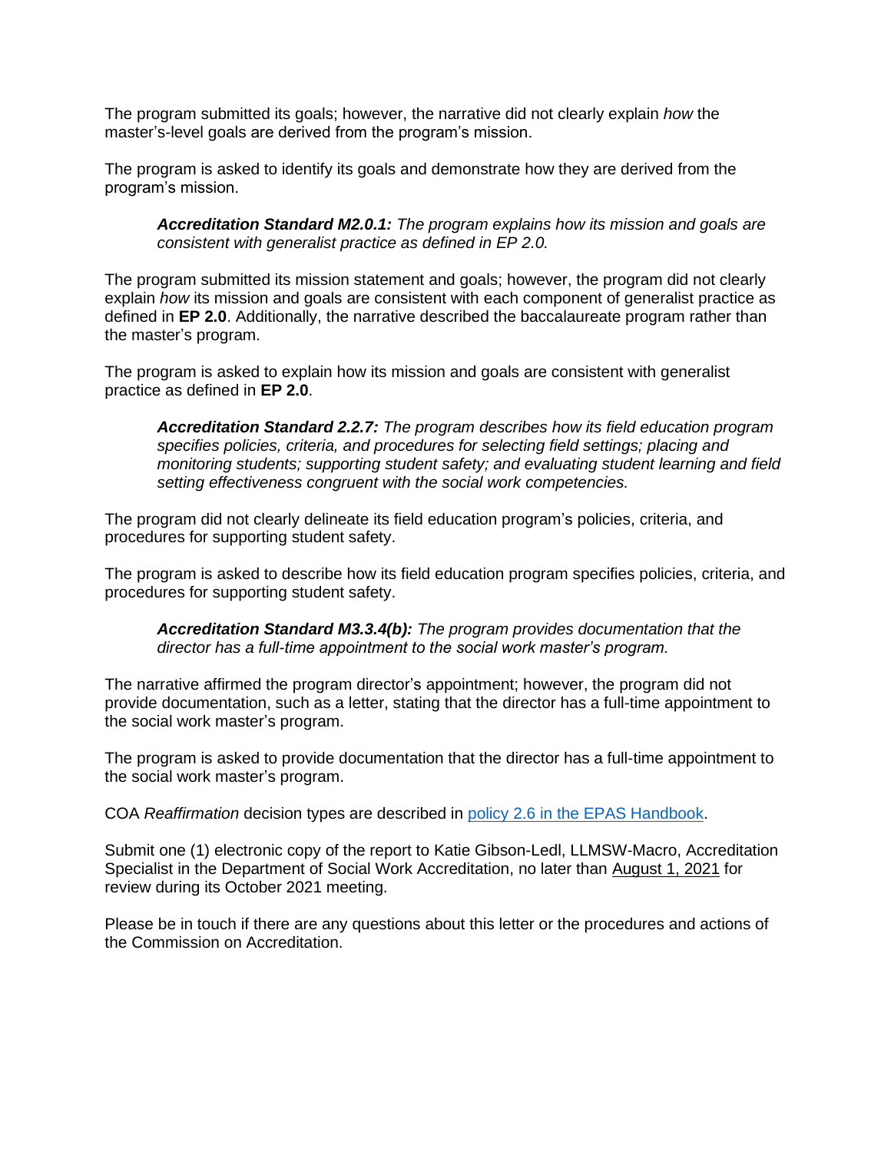The program submitted its goals; however, the narrative did not clearly explain *how* the master's-level goals are derived from the program's mission.

The program is asked to identify its goals and demonstrate how they are derived from the program's mission.

*Accreditation Standard M2.0.1: The program explains how its mission and goals are consistent with generalist practice as defined in EP 2.0.*

The program submitted its mission statement and goals; however, the program did not clearly explain *how* its mission and goals are consistent with each component of generalist practice as defined in **EP 2.0**. Additionally, the narrative described the baccalaureate program rather than the master's program.

The program is asked to explain how its mission and goals are consistent with generalist practice as defined in **EP 2.0**.

*Accreditation Standard 2.2.7: The program describes how its field education program specifies policies, criteria, and procedures for selecting field settings; placing and monitoring students; supporting student safety; and evaluating student learning and field setting effectiveness congruent with the social work competencies.*

The program did not clearly delineate its field education program's policies, criteria, and procedures for supporting student safety.

The program is asked to describe how its field education program specifies policies, criteria, and procedures for supporting student safety.

*Accreditation Standard M3.3.4(b): The program provides documentation that the director has a full-time appointment to the social work master's program.*

The narrative affirmed the program director's appointment; however, the program did not provide documentation, such as a letter, stating that the director has a full-time appointment to the social work master's program.

The program is asked to provide documentation that the director has a full-time appointment to the social work master's program.

COA *Reaffirmation* decision types are described in [policy 2.6 in the EPAS Handbook.](https://www.cswe.org/Accreditation/Standards-and-Policies/EPAS-Handbook)

Submit one (1) electronic copy of the report to Katie Gibson-Ledl, LLMSW-Macro, Accreditation Specialist in the Department of Social Work Accreditation, no later than August 1, 2021 for review during its October 2021 meeting.

Please be in touch if there are any questions about this letter or the procedures and actions of the Commission on Accreditation.